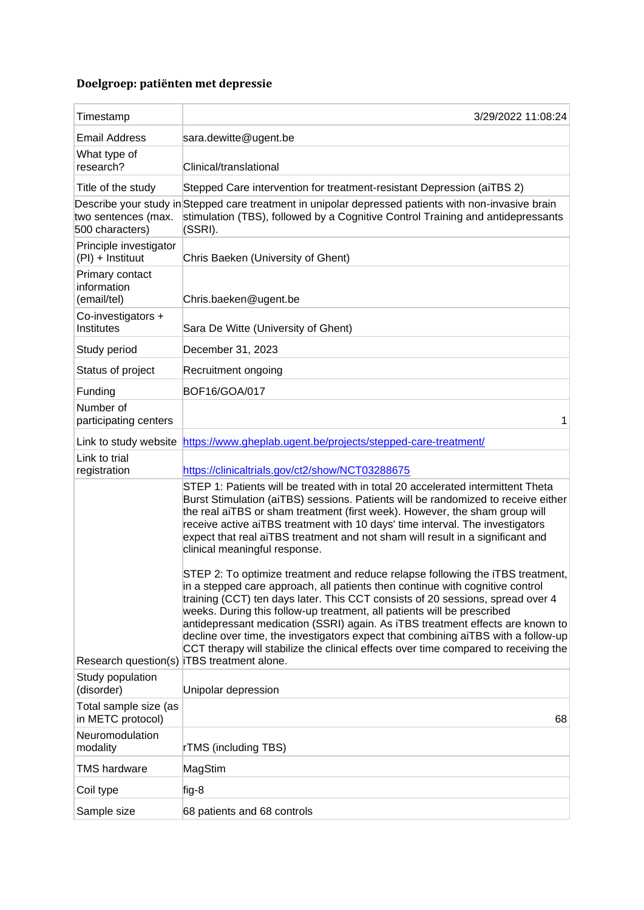## **Doelgroep: patiënten met depressie**

| Timestamp                                     | 3/29/2022 11:08:24                                                                                                                                                                                                                                                                                                                                                                                                                                                                                                                                                                         |
|-----------------------------------------------|--------------------------------------------------------------------------------------------------------------------------------------------------------------------------------------------------------------------------------------------------------------------------------------------------------------------------------------------------------------------------------------------------------------------------------------------------------------------------------------------------------------------------------------------------------------------------------------------|
| <b>Email Address</b>                          | sara.dewitte@ugent.be                                                                                                                                                                                                                                                                                                                                                                                                                                                                                                                                                                      |
| What type of<br>research?                     | Clinical/translational                                                                                                                                                                                                                                                                                                                                                                                                                                                                                                                                                                     |
| Title of the study                            | Stepped Care intervention for treatment-resistant Depression (aiTBS 2)                                                                                                                                                                                                                                                                                                                                                                                                                                                                                                                     |
| two sentences (max.<br>500 characters)        | Describe your study in Stepped care treatment in unipolar depressed patients with non-invasive brain<br>stimulation (TBS), followed by a Cognitive Control Training and antidepressants<br>(SSRI).                                                                                                                                                                                                                                                                                                                                                                                         |
| Principle investigator<br>(PI) + Instituut    | Chris Baeken (University of Ghent)                                                                                                                                                                                                                                                                                                                                                                                                                                                                                                                                                         |
| Primary contact<br>information<br>(email/tel) | Chris.baeken@ugent.be                                                                                                                                                                                                                                                                                                                                                                                                                                                                                                                                                                      |
| Co-investigators +<br>Institutes              | Sara De Witte (University of Ghent)                                                                                                                                                                                                                                                                                                                                                                                                                                                                                                                                                        |
| Study period                                  | December 31, 2023                                                                                                                                                                                                                                                                                                                                                                                                                                                                                                                                                                          |
| Status of project                             | Recruitment ongoing                                                                                                                                                                                                                                                                                                                                                                                                                                                                                                                                                                        |
| Funding                                       | <b>BOF16/GOA/017</b>                                                                                                                                                                                                                                                                                                                                                                                                                                                                                                                                                                       |
| Number of<br>participating centers            | 1                                                                                                                                                                                                                                                                                                                                                                                                                                                                                                                                                                                          |
| Link to study website                         | https://www.gheplab.ugent.be/projects/stepped-care-treatment/                                                                                                                                                                                                                                                                                                                                                                                                                                                                                                                              |
| Link to trial<br>registration                 | https://clinicaltrials.gov/ct2/show/NCT03288675                                                                                                                                                                                                                                                                                                                                                                                                                                                                                                                                            |
|                                               | STEP 1: Patients will be treated with in total 20 accelerated intermittent Theta<br>Burst Stimulation (aiTBS) sessions. Patients will be randomized to receive either<br>the real aiTBS or sham treatment (first week). However, the sham group will<br>receive active aiTBS treatment with 10 days' time interval. The investigators<br>expect that real aiTBS treatment and not sham will result in a significant and<br>clinical meaningful response.                                                                                                                                   |
|                                               | STEP 2: To optimize treatment and reduce relapse following the iTBS treatment,<br>in a stepped care approach, all patients then continue with cognitive control<br>training (CCT) ten days later. This CCT consists of 20 sessions, spread over 4<br>weeks. During this follow-up treatment, all patients will be prescribed<br>antidepressant medication (SSRI) again. As iTBS treatment effects are known to<br>decline over time, the investigators expect that combining aiTBS with a follow-up<br>CCT therapy will stabilize the clinical effects over time compared to receiving the |
| Research question(s)<br>Study population      | <b>iTBS</b> treatment alone.                                                                                                                                                                                                                                                                                                                                                                                                                                                                                                                                                               |
| (disorder)                                    | Unipolar depression                                                                                                                                                                                                                                                                                                                                                                                                                                                                                                                                                                        |
| Total sample size (as<br>in METC protocol)    | 68                                                                                                                                                                                                                                                                                                                                                                                                                                                                                                                                                                                         |
| Neuromodulation<br>modality                   | rTMS (including TBS)                                                                                                                                                                                                                                                                                                                                                                                                                                                                                                                                                                       |
| <b>TMS hardware</b>                           | MagStim                                                                                                                                                                                                                                                                                                                                                                                                                                                                                                                                                                                    |
| Coil type                                     | fig-8                                                                                                                                                                                                                                                                                                                                                                                                                                                                                                                                                                                      |
| Sample size                                   | 68 patients and 68 controls                                                                                                                                                                                                                                                                                                                                                                                                                                                                                                                                                                |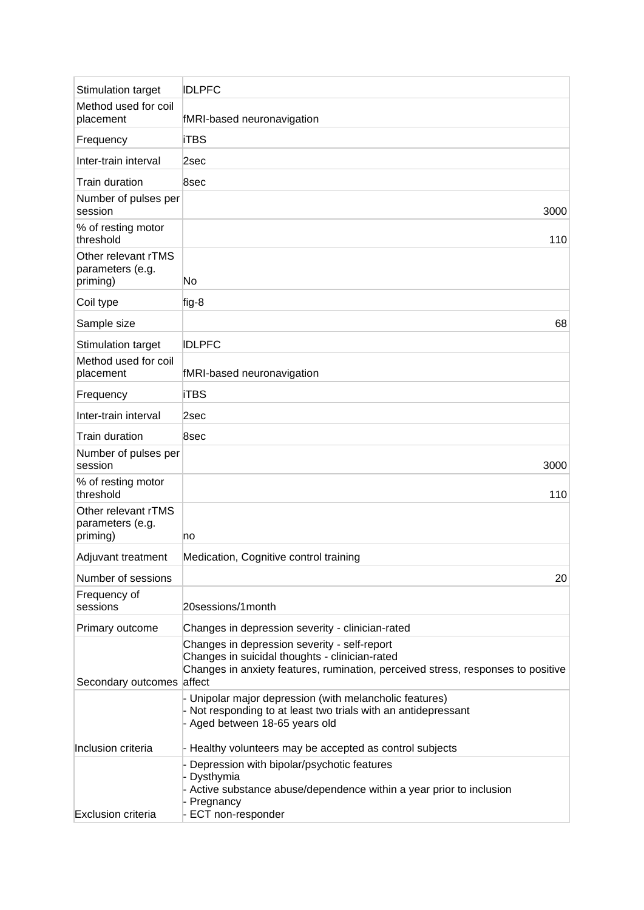| Stimulation target                                  | <b>IDLPFC</b>                                                                                                                                                                      |
|-----------------------------------------------------|------------------------------------------------------------------------------------------------------------------------------------------------------------------------------------|
| Method used for coil                                |                                                                                                                                                                                    |
| placement                                           | fMRI-based neuronavigation                                                                                                                                                         |
| Frequency                                           | <b>iTBS</b>                                                                                                                                                                        |
| Inter-train interval                                | 2sec                                                                                                                                                                               |
| Train duration                                      | 8sec                                                                                                                                                                               |
| Number of pulses per<br>session                     | 3000                                                                                                                                                                               |
| % of resting motor<br>threshold                     | 110                                                                                                                                                                                |
| Other relevant rTMS<br>parameters (e.g.<br>priming) | No                                                                                                                                                                                 |
| Coil type                                           | fig-8                                                                                                                                                                              |
| Sample size                                         | 68                                                                                                                                                                                 |
| Stimulation target                                  | <b>IDLPFC</b>                                                                                                                                                                      |
| Method used for coil<br>placement                   | fMRI-based neuronavigation                                                                                                                                                         |
| Frequency                                           | <b>iTBS</b>                                                                                                                                                                        |
| Inter-train interval                                | 2sec                                                                                                                                                                               |
| Train duration                                      | 8sec                                                                                                                                                                               |
| Number of pulses per<br>session                     | 3000                                                                                                                                                                               |
| % of resting motor<br>threshold                     | 110                                                                                                                                                                                |
| Other relevant rTMS<br>parameters (e.g.<br>priming) | no                                                                                                                                                                                 |
| Adjuvant treatment                                  | Medication, Cognitive control training                                                                                                                                             |
| Number of sessions                                  | 20                                                                                                                                                                                 |
| Frequency of<br>sessions                            | 20sessions/1month                                                                                                                                                                  |
| Primary outcome                                     | Changes in depression severity - clinician-rated                                                                                                                                   |
| Secondary outcomes affect                           | Changes in depression severity - self-report<br>Changes in suicidal thoughts - clinician-rated<br>Changes in anxiety features, rumination, perceived stress, responses to positive |
|                                                     | Unipolar major depression (with melancholic features)<br>- Not responding to at least two trials with an antidepressant<br>Aged between 18-65 years old                            |
| Inclusion criteria                                  | - Healthy volunteers may be accepted as control subjects                                                                                                                           |
| <b>Exclusion criteria</b>                           | Depression with bipolar/psychotic features<br>Dysthymia<br>Active substance abuse/dependence within a year prior to inclusion<br>Pregnancy<br>ECT non-responder                    |